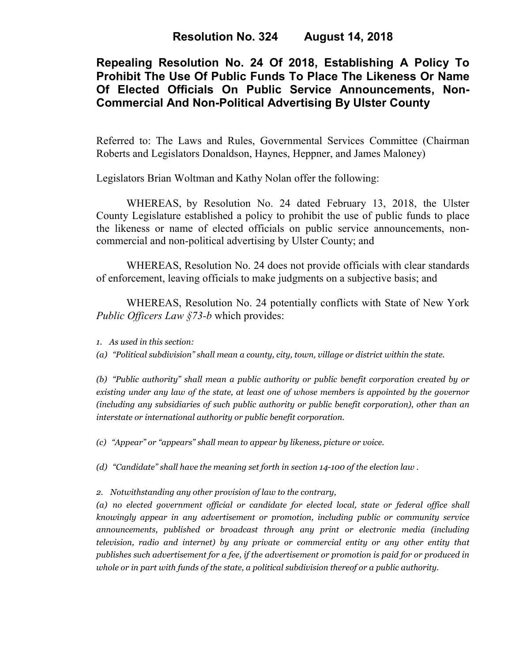**Resolution No. 324 August 14, 2018** 

# **Repealing Resolution No. 24 Of 2018, Establishing A Policy To Prohibit The Use Of Public Funds To Place The Likeness Or Name Of Elected Officials On Public Service Announcements, Non-Commercial And Non-Political Advertising By Ulster County**

Referred to: The Laws and Rules, Governmental Services Committee (Chairman Roberts and Legislators Donaldson, Haynes, Heppner, and James Maloney)

Legislators Brian Woltman and Kathy Nolan offer the following:

WHEREAS, by Resolution No. 24 dated February 13, 2018, the Ulster County Legislature established a policy to prohibit the use of public funds to place the likeness or name of elected officials on public service announcements, noncommercial and non-political advertising by Ulster County; and

WHEREAS, Resolution No. 24 does not provide officials with clear standards of enforcement, leaving officials to make judgments on a subjective basis; and

 WHEREAS, Resolution No. 24 potentially conflicts with State of New York *Public Officers Law §73-b* which provides:

*1. As used in this section:* 

*(a) "Political subdivision" shall mean a county, city, town, village or district within the state.* 

*(b) "Public authority" shall mean a public authority or public benefit corporation created by or existing under any law of the state, at least one of whose members is appointed by the governor (including any subsidiaries of such public authority or public benefit corporation), other than an interstate or international authority or public benefit corporation.* 

*(c) "Appear" or "appears" shall mean to appear by likeness, picture or voice.* 

*(d) "Candidate" shall have the meaning set forth in section 14-100 of the election law .* 

*2. Notwithstanding any other provision of law to the contrary,* 

*(a) no elected government official or candidate for elected local, state or federal office shall knowingly appear in any advertisement or promotion, including public or community service announcements, published or broadcast through any print or electronic media (including television, radio and internet) by any private or commercial entity or any other entity that publishes such advertisement for a fee, if the advertisement or promotion is paid for or produced in whole or in part with funds of the state, a political subdivision thereof or a public authority.*